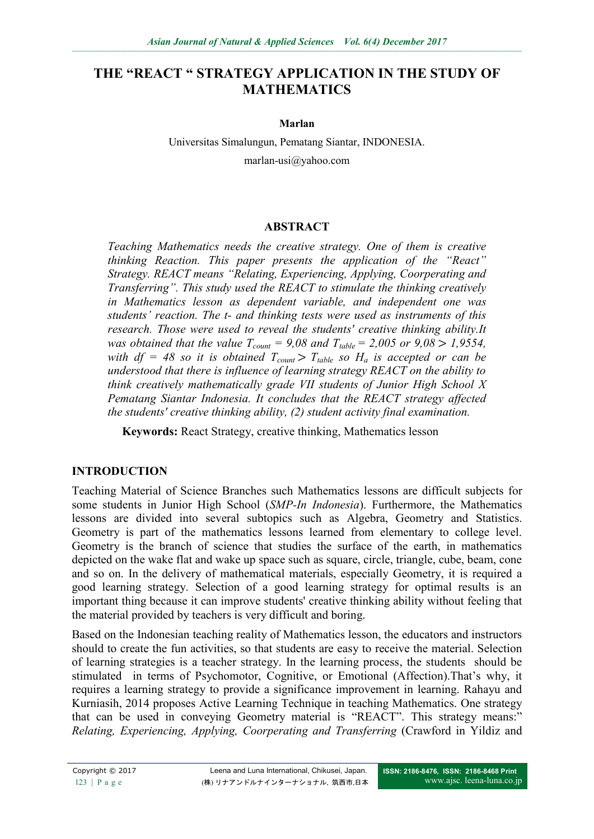# **THE "REACT " STRATEGY APPLICATION IN THE STUDY OF MATHEMATICS**

#### **Marlan**

Universitas Simalungun, Pematang Siantar, INDONESIA. marlan-usi@yahoo.com

#### **ABSTRACT**

*Teaching Mathematics needs the creative strategy. One of them is creative thinking Reaction. This paper presents the application of the "React" Strategy. REACT means "Relating, Experiencing, Applying, Coorperating and Transferring". This study used the REACT to stimulate the thinking creatively in Mathematics lesson as dependent variable, and independent one was students' reaction. The t- and thinking tests were used as instruments of this research. Those were used to reveal the students' creative thinking ability.It was obtained that the value*  $T_{count} = 9.08$  *and*  $T_{table} = 2.005$  *or*  $9.08 > 1.9554$ , *with df* = 48 so *it is obtained*  $T_{count} > T_{table}$  *so H<sub>a</sub> is accepted or can be understood that there is influence of learning strategy REACT on the ability to think creatively mathematically grade VII students of Junior High School X Pematang Siantar Indonesia. It concludes that the REACT strategy affected the students' creative thinking ability, (2) student activity final examination.* 

**Keywords:** React Strategy, creative thinking, Mathematics lesson

### **INTRODUCTION**

Teaching Material of Science Branches such Mathematics lessons are difficult subjects for some students in Junior High School (*SMP-In Indonesia*). Furthermore, the Mathematics lessons are divided into several subtopics such as Algebra, Geometry and Statistics. Geometry is part of the mathematics lessons learned from elementary to college level. Geometry is the branch of science that studies the surface of the earth, in mathematics depicted on the wake flat and wake up space such as square, circle, triangle, cube, beam, cone and so on. In the delivery of mathematical materials, especially Geometry, it is required a good learning strategy. Selection of a good learning strategy for optimal results is an important thing because it can improve students' creative thinking ability without feeling that the material provided by teachers is very difficult and boring.

Based on the Indonesian teaching reality of Mathematics lesson, the educators and instructors should to create the fun activities, so that students are easy to receive the material. Selection of learning strategies is a teacher strategy. In the learning process, the students should be stimulated in terms of Psychomotor, Cognitive, or Emotional (Affection).That's why, it requires a learning strategy to provide a significance improvement in learning. Rahayu and Kurniasih, 2014 proposes Active Learning Technique in teaching Mathematics. One strategy that can be used in conveying Geometry material is "REACT". This strategy means:" *Relating, Experiencing, Applying, Coorperating and Transferring* (Crawford in Yildiz and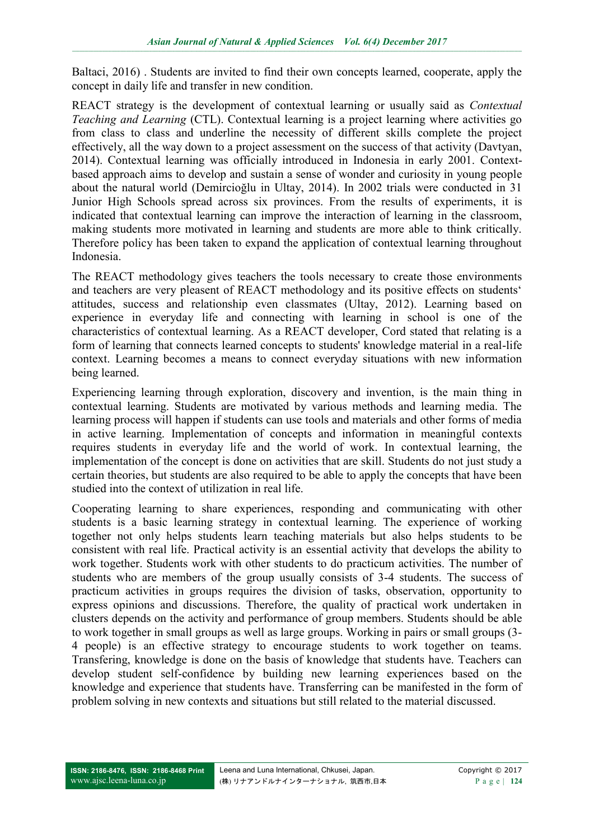Baltaci, 2016) . Students are invited to find their own concepts learned, cooperate, apply the concept in daily life and transfer in new condition.

REACT strategy is the development of contextual learning or usually said as *Contextual Teaching and Learning* (CTL). Contextual learning is a project learning where activities go from class to class and underline the necessity of different skills complete the project effectively, all the way down to a project assessment on the success of that activity (Davtyan, 2014). Contextual learning was officially introduced in Indonesia in early 2001. Contextbased approach aims to develop and sustain a sense of wonder and curiosity in young people about the natural world (Demircioğlu in Ultay, 2014). In 2002 trials were conducted in 31 Junior High Schools spread across six provinces. From the results of experiments, it is indicated that contextual learning can improve the interaction of learning in the classroom, making students more motivated in learning and students are more able to think critically. Therefore policy has been taken to expand the application of contextual learning throughout Indonesia.

The REACT methodology gives teachers the tools necessary to create those environments and teachers are very pleasent of REACT methodology and its positive effects on students' attitudes, success and relationship even classmates (Ultay, 2012). Learning based on experience in everyday life and connecting with learning in school is one of the characteristics of contextual learning. As a REACT developer, Cord stated that relating is a form of learning that connects learned concepts to students' knowledge material in a real-life context. Learning becomes a means to connect everyday situations with new information being learned.

Experiencing learning through exploration, discovery and invention, is the main thing in contextual learning. Students are motivated by various methods and learning media. The learning process will happen if students can use tools and materials and other forms of media in active learning. Implementation of concepts and information in meaningful contexts requires students in everyday life and the world of work. In contextual learning, the implementation of the concept is done on activities that are skill. Students do not just study a certain theories, but students are also required to be able to apply the concepts that have been studied into the context of utilization in real life.

Cooperating learning to share experiences, responding and communicating with other students is a basic learning strategy in contextual learning. The experience of working together not only helps students learn teaching materials but also helps students to be consistent with real life. Practical activity is an essential activity that develops the ability to work together. Students work with other students to do practicum activities. The number of students who are members of the group usually consists of 3-4 students. The success of practicum activities in groups requires the division of tasks, observation, opportunity to express opinions and discussions. Therefore, the quality of practical work undertaken in clusters depends on the activity and performance of group members. Students should be able to work together in small groups as well as large groups. Working in pairs or small groups (3- 4 people) is an effective strategy to encourage students to work together on teams. Transfering, knowledge is done on the basis of knowledge that students have. Teachers can develop student self-confidence by building new learning experiences based on the knowledge and experience that students have. Transferring can be manifested in the form of problem solving in new contexts and situations but still related to the material discussed.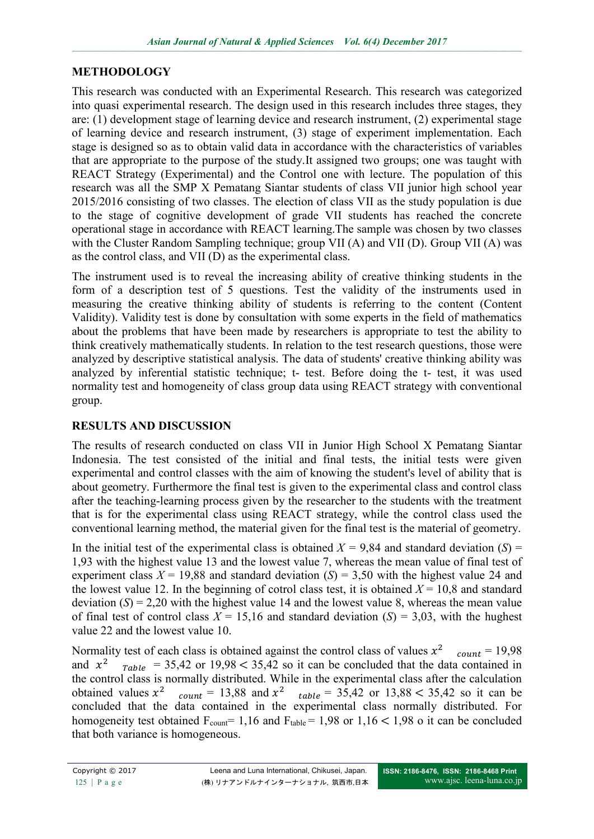## **METHODOLOGY**

This research was conducted with an Experimental Research. This research was categorized into quasi experimental research. The design used in this research includes three stages, they are: (1) development stage of learning device and research instrument, (2) experimental stage of learning device and research instrument, (3) stage of experiment implementation. Each stage is designed so as to obtain valid data in accordance with the characteristics of variables that are appropriate to the purpose of the study.It assigned two groups; one was taught with REACT Strategy (Experimental) and the Control one with lecture. The population of this research was all the SMP X Pematang Siantar students of class VII junior high school year 2015/2016 consisting of two classes. The election of class VII as the study population is due to the stage of cognitive development of grade VII students has reached the concrete operational stage in accordance with REACT learning.The sample was chosen by two classes with the Cluster Random Sampling technique; group VII (A) and VII (D). Group VII (A) was as the control class, and VII (D) as the experimental class.

The instrument used is to reveal the increasing ability of creative thinking students in the form of a description test of 5 questions. Test the validity of the instruments used in measuring the creative thinking ability of students is referring to the content (Content Validity). Validity test is done by consultation with some experts in the field of mathematics about the problems that have been made by researchers is appropriate to test the ability to think creatively mathematically students. In relation to the test research questions, those were analyzed by descriptive statistical analysis. The data of students' creative thinking ability was analyzed by inferential statistic technique; t- test. Before doing the t- test, it was used normality test and homogeneity of class group data using REACT strategy with conventional group.

## **RESULTS AND DISCUSSION**

The results of research conducted on class VII in Junior High School X Pematang Siantar Indonesia. The test consisted of the initial and final tests, the initial tests were given experimental and control classes with the aim of knowing the student's level of ability that is about geometry. Furthermore the final test is given to the experimental class and control class after the teaching-learning process given by the researcher to the students with the treatment that is for the experimental class using REACT strategy, while the control class used the conventional learning method, the material given for the final test is the material of geometry.

In the initial test of the experimental class is obtained  $X = 9,84$  and standard deviation (*S*) = 1,93 with the highest value 13 and the lowest value 7, whereas the mean value of final test of experiment class  $X = 19,88$  and standard deviation  $(S) = 3,50$  with the highest value 24 and the lowest value 12. In the beginning of cotrol class test, it is obtained  $X = 10.8$  and standard deviation  $(S) = 2,20$  with the highest value 14 and the lowest value 8, whereas the mean value of final test of control class  $X = 15,16$  and standard deviation  $(S) = 3,03$ , with the hughest value 22 and the lowest value 10.

Normality test of each class is obtained against the control class of values  $x^2$  $_{count} = 19,98$ and  $x^2$  $_{Table}$  = 35,42 or 19,98 < 35,42 so it can be concluded that the data contained in the control class is normally distributed. While in the experimental class after the calculation obtained values  $x^2$  count = 13,88 and  $x^2$  table = 35,42 or 13,88 < 35,42 so it can be obtained values  $x^2$   $_{count}$  = 13,88 and  $x^2$   $_{table}$  = 35,42 or 13,88 < 35,42 so it can be concluded that the data contained in the experimental class normally distributed. For homogeneity test obtained  $F_{count} = 1,16$  and  $F_{table} = 1,98$  or  $1,16 < 1,98$  o it can be concluded that both variance is homogeneous.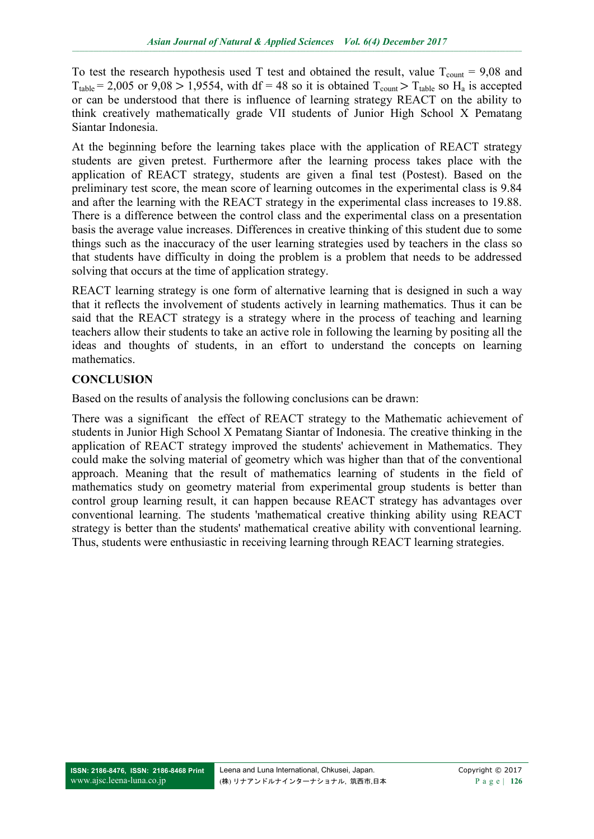To test the research hypothesis used T test and obtained the result, value  $T_{\text{count}} = 9.08$  and  $T_{table} = 2,005$  or  $9,08 > 1,9554$ , with df = 48 so it is obtained  $T_{count} > T_{table}$  so H<sub>a</sub> is accepted or can be understood that there is influence of learning strategy REACT on the ability to think creatively mathematically grade VII students of Junior High School X Pematang Siantar Indonesia.

At the beginning before the learning takes place with the application of REACT strategy students are given pretest. Furthermore after the learning process takes place with the application of REACT strategy, students are given a final test (Postest). Based on the preliminary test score, the mean score of learning outcomes in the experimental class is 9.84 and after the learning with the REACT strategy in the experimental class increases to 19.88. There is a difference between the control class and the experimental class on a presentation basis the average value increases. Differences in creative thinking of this student due to some things such as the inaccuracy of the user learning strategies used by teachers in the class so that students have difficulty in doing the problem is a problem that needs to be addressed solving that occurs at the time of application strategy.

REACT learning strategy is one form of alternative learning that is designed in such a way that it reflects the involvement of students actively in learning mathematics. Thus it can be said that the REACT strategy is a strategy where in the process of teaching and learning teachers allow their students to take an active role in following the learning by positing all the ideas and thoughts of students, in an effort to understand the concepts on learning mathematics.

## **CONCLUSION**

Based on the results of analysis the following conclusions can be drawn:

There was a significant the effect of REACT strategy to the Mathematic achievement of students in Junior High School X Pematang Siantar of Indonesia. The creative thinking in the application of REACT strategy improved the students' achievement in Mathematics. They could make the solving material of geometry which was higher than that of the conventional approach. Meaning that the result of mathematics learning of students in the field of mathematics study on geometry material from experimental group students is better than control group learning result, it can happen because REACT strategy has advantages over conventional learning. The students 'mathematical creative thinking ability using REACT strategy is better than the students' mathematical creative ability with conventional learning. Thus, students were enthusiastic in receiving learning through REACT learning strategies.